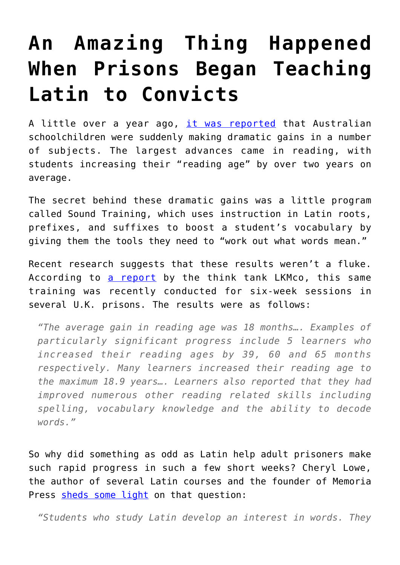## **[An Amazing Thing Happened](https://intellectualtakeout.org/2017/03/an-amazing-thing-happened-when-prisons-began-teaching-latin-to-convicts/) [When Prisons Began Teaching](https://intellectualtakeout.org/2017/03/an-amazing-thing-happened-when-prisons-began-teaching-latin-to-convicts/) [Latin to Convicts](https://intellectualtakeout.org/2017/03/an-amazing-thing-happened-when-prisons-began-teaching-latin-to-convicts/)**

A little over a year ago, [it was reported](http://www.theaustralian.com.au/news/world/the-times/greek-and-latin-lessons-boost-reading-and-maths-skills/news-story/6c7276e437443f894c16148c53dc3e2e) that Australian schoolchildren were suddenly making dramatic gains in a number of subjects. The largest advances came in reading, with students increasing their "reading age" by over two years on average.

The secret behind these dramatic gains was a little program called Sound Training, which uses instruction in Latin roots, prefixes, and suffixes to boost a student's vocabulary by giving them the tools they need to "work out what words mean."

Recent research suggests that these results weren't a fluke. According to [a report](https://cdn.lkmco.org/wp-content/uploads/2017/03/Sound-Training-Prison-Pilot-Impact-Report.pdf) by the think tank LKMco, this same training was recently conducted for six-week sessions in several U.K. prisons. The results were as follows:

*"The average gain in reading age was 18 months…. Examples of particularly significant progress include 5 learners who increased their reading ages by 39, 60 and 65 months respectively. Many learners increased their reading age to the maximum 18.9 years…. Learners also reported that they had improved numerous other reading related skills including spelling, vocabulary knowledge and the ability to decode words."*

So why did something as odd as Latin help adult prisoners make such rapid progress in such a few short weeks? Cheryl Lowe, the author of several Latin courses and the founder of Memoria Press [sheds some light](https://www.memoriapress.com/articles/top-10-reasons-studying-latin/) on that question:

*"Students who study Latin develop an interest in words. They*